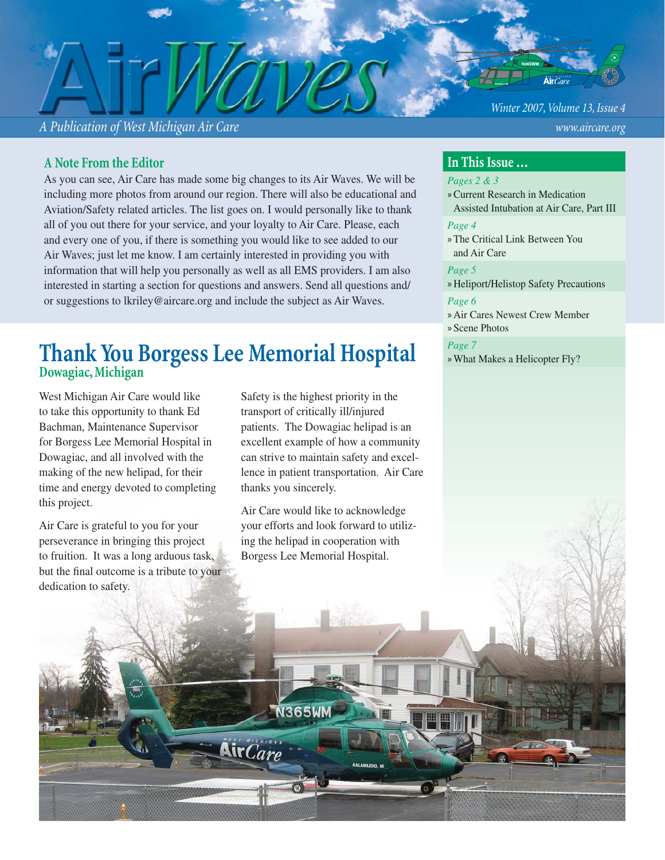*A Publication of West Michigan Air Care www.aircare.org*

#### *Winter 2007, Volume 13, Issue 4*

#### **A Note From the Editor**

As you can see, Air Care has made some big changes to its Air Waves. We will be including more photos from around our region. There will also be educational and Aviation/Safety related articles. The list goes on. I would personally like to thank all of you out there for your service, and your loyalty to Air Care. Please, each and every one of you, if there is something you would like to see added to our Air Waves; just let me know. I am certainly interested in providing you with information that will help you personally as well as all EMS providers. I am also interested in starting a section for questions and answers. Send all questions and/ or suggestions to lkriley@aircare.org and include the subject as Air Waves.

# **Thank You Borgess Lee Memorial Hospital Dowagiac, Michigan**

West Michigan Air Care would like to take this opportunity to thank Ed Bachman, Maintenance Supervisor for Borgess Lee Memorial Hospital in Dowagiac, and all involved with the making of the new helipad, for their time and energy devoted to completing this project.

Air Care is grateful to you for your perseverance in bringing this project to fruition. It was a long arduous task, but the final outcome is a tribute to your dedication to safety.

Safety is the highest priority in the transport of critically ill/injured patients. The Dowagiac helipad is an excellent example of how a community can strive to maintain safety and excellence in patient transportation. Air Care thanks you sincerely.

Air Care would like to acknowledge your efforts and look forward to utilizing the helipad in cooperation with Borgess Lee Memorial Hospital.

**N365WM** 

 $\mathbf{Nic}$ 

#### **In This Issue …**

#### *Pages 2 & 3*

Current Research in Medication » Assisted Intubation at Air Care, Part III

#### *Page 4*

The Critical Link Between You » and Air Care

#### *Page 5*

» Heliport/Helistop Safety Precautions *Page 6*

- Air Cares Newest Crew Member »
- Scene Photos »

#### *Page 7*

» What Makes a Helicopter Fly?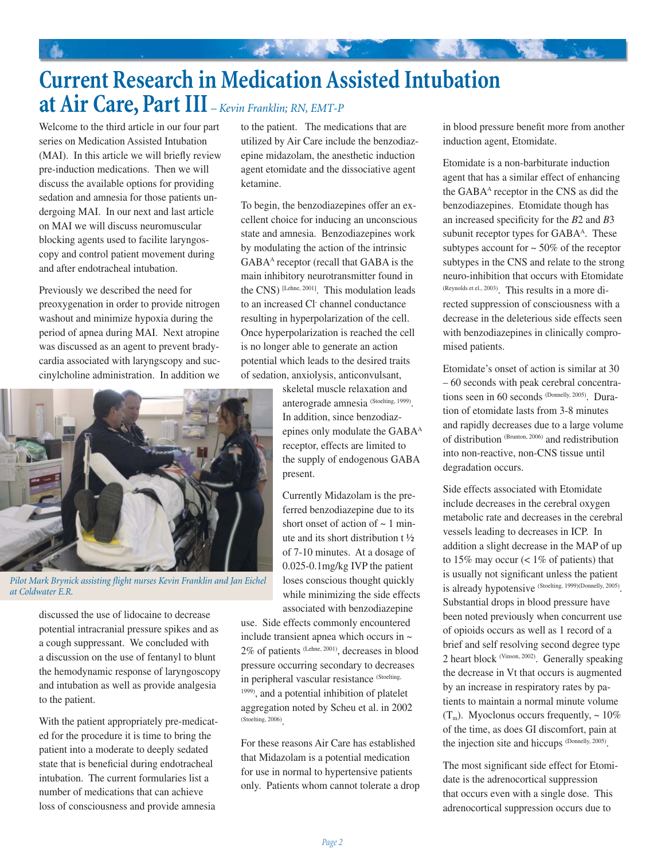# **Current Research in Medication Assisted Intubation at Air Care, Part III** *– Kevin Franklin; RN, EMT-P*

大家 化电子

Welcome to the third article in our four part series on Medication Assisted Intubation (MAI). In this article we will briefly review pre-induction medications. Then we will discuss the available options for providing sedation and amnesia for those patients undergoing MAI. In our next and last article on MAI we will discuss neuromuscular blocking agents used to facilite laryngoscopy and control patient movement during and after endotracheal intubation.

Previously we described the need for preoxygenation in order to provide nitrogen washout and minimize hypoxia during the period of apnea during MAI. Next atropine was discussed as an agent to prevent bradycardia associated with laryngscopy and succinylcholine administration. In addition we



Pilot Mark Brynick assisting flight nurses Kevin Franklin and Jan Eichel *at Coldwater E.R.*

discussed the use of lidocaine to decrease potential intracranial pressure spikes and as a cough suppressant. We concluded with a discussion on the use of fentanyl to blunt the hemodynamic response of laryngoscopy and intubation as well as provide analgesia to the patient.

With the patient appropriately pre-medicated for the procedure it is time to bring the patient into a moderate to deeply sedated state that is beneficial during endotracheal intubation. The current formularies list a number of medications that can achieve loss of consciousness and provide amnesia

to the patient. The medications that are utilized by Air Care include the benzodiazepine midazolam, the anesthetic induction agent etomidate and the dissociative agent ketamine.

To begin, the benzodiazepines offer an excellent choice for inducing an unconscious state and amnesia. Benzodiazepines work by modulating the action of the intrinsic GABA<sup>A</sup> receptor (recall that GABA is the main inhibitory neurotransmitter found in the CNS) [Lehne, 2001]. This modulation leads to an increased Cl- channel conductance resulting in hyperpolarization of the cell. Once hyperpolarization is reached the cell is no longer able to generate an action potential which leads to the desired traits of sedation, anxiolysis, anticonvulsant,

> skeletal muscle relaxation and anterograde amnesia (Stoelting, 1999). In addition, since benzodiazepines only modulate the GABA<sup>A</sup> receptor, effects are limited to the supply of endogenous GABA present.

Currently Midazolam is the preferred benzodiazepine due to its short onset of action of  $\sim$  1 minute and its short distribution t ½ of 7-10 minutes. At a dosage of 0.025-0.1mg/kg IVP the patient loses conscious thought quickly while minimizing the side effects associated with benzodiazepine

use. Side effects commonly encountered include transient apnea which occurs in ~ 2% of patients (Lehne, 2001), decreases in blood pressure occurring secondary to decreases in peripheral vascular resistance (Stoelting, 1999), and a potential inhibition of platelet aggregation noted by Scheu et al. in 2002 (Stoelting, 2006).

For these reasons Air Care has established that Midazolam is a potential medication for use in normal to hypertensive patients only. Patients whom cannot tolerate a drop in blood pressure benefit more from another induction agent, Etomidate.

Etomidate is a non-barbiturate induction agent that has a similar effect of enhancing the GABA<sup>A</sup> receptor in the CNS as did the benzodiazepines. Etomidate though has an increased specificity for the *B*2 and *B*3 subunit receptor types for GABA<sup>A</sup>. These subtypes account for  $\sim$  50% of the receptor subtypes in the CNS and relate to the strong neuro-inhibition that occurs with Etomidate (Reynolds et el., 2003). This results in a more directed suppression of consciousness with a decrease in the deleterious side effects seen with benzodiazepines in clinically compromised patients.

Etomidate's onset of action is similar at 30 – 60 seconds with peak cerebral concentrations seen in 60 seconds (Donnelly, 2005). Duration of etomidate lasts from 3-8 minutes and rapidly decreases due to a large volume of distribution (Brunton, 2006) and redistribution into non-reactive, non-CNS tissue until degradation occurs.

Side effects associated with Etomidate include decreases in the cerebral oxygen metabolic rate and decreases in the cerebral vessels leading to decreases in ICP. In addition a slight decrease in the MAP of up to 15% may occur  $($  < 1% of patients) that is usually not significant unless the patient is already hypotensive (Stoelting, 1999)(Donnelly, 2005). Substantial drops in blood pressure have been noted previously when concurrent use of opioids occurs as well as 1 record of a brief and self resolving second degree type 2 heart block (Vinson, 2002). Generally speaking the decrease in Vt that occurs is augmented by an increase in respiratory rates by patients to maintain a normal minute volume  $(T_m)$ . Myoclonus occurs frequently,  $\sim 10\%$ of the time, as does GI discomfort, pain at the injection site and hiccups (Donnelly, 2005).

The most significant side effect for Etomidate is the adrenocortical suppression that occurs even with a single dose. This adrenocortical suppression occurs due to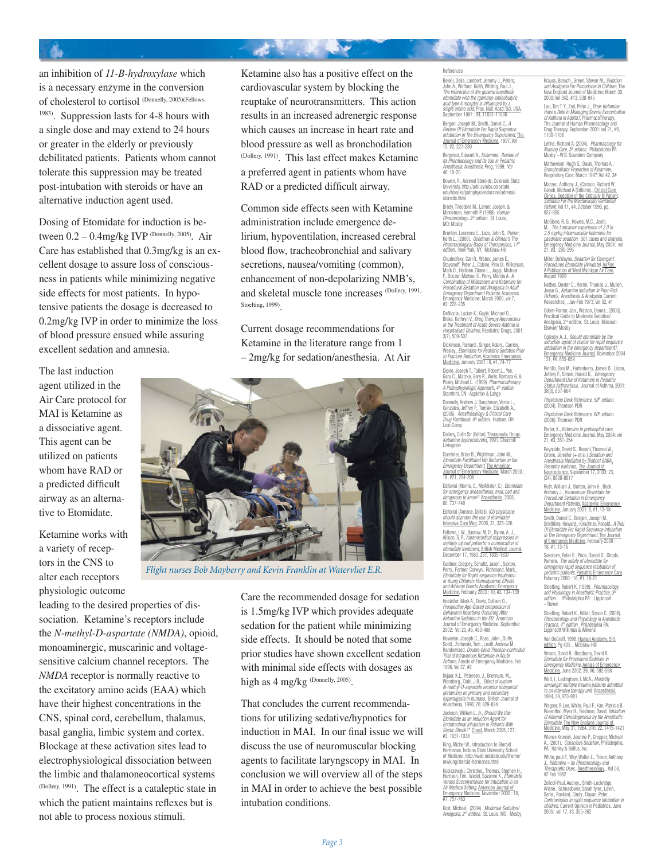an inhibition of *11-B-hydroxylase* which is a necessary enzyme in the conversion of cholesterol to cortisol (Donnelly, 2005)(Fellows, 1983). Suppression lasts for 4-8 hours with a single dose and may extend to 24 hours or greater in the elderly or previously debilitated patients. Patients whom cannot tolerate this suppression may be treated post-intubation with steroids or have an alternative induction agent used.

Dosing of Etomidate for induction is between 0.2 – 0.4mg/kg IVP (Donnelly, 2005). Air Care has established that 0.3mg/kg is an excellent dosage to assure loss of consciousness in patients while minimizing negative side effects for most patients. In hypotensive patients the dosage is decreased to 0.2mg/kg IVP in order to minimize the loss of blood pressure ensued while assuring excellent sedation and amnesia.

The last induction agent utilized in the Air Care protocol for MAI is Ketamine as a dissociative agent. This agent can be utilized on patients whom have RAD or a predicted difficult airway as an alternative to Etomidate.

Ketamine works with a variety of receptors in the CNS to alter each receptors physiologic outcome

leading to the desired properties of dissociation. Ketamine's receptors include the *N-methyl-D-aspartate (NMDA)*, opioid, monoaminergic, muscarinic and voltagesensitive calcium channel receptors. The *NMDA* receptor is normally reactive to the excitatory amino acids (EAA) which have their highest concentrations in the CNS, spinal cord, cerebellum, thalamus, basal ganglia, limbic system and cortex. Blockage at these activation sites lead to electrophysiological dissociation between the limbic and thalamoneocortical systems (Dollery, 1991). The effect is a cataleptic state in which the patient maintains reflexes but is not able to process noxious stimuli.

Ketamine also has a positive effect on the cardiovascular system by blocking the reuptake of neurotransmitters. This action results in an increased adrenergic response which causes an increase in heart rate and blood pressure as well as bronchodilation (Dollery, 1991). This last effect makes Ketamine a preferred agent in patients whom have RAD or a predicted difficult airway.

法意识 医心

Common side effects seen with Ketamine administration include emergence delirium, hypoventilation, increased cerebral blood flow, tracheobronchial and salivary secretions, nausea/vomiting (common), enhancement of non-depolarizing NMB's, and skeletal muscle tone increases (Dollery, 1991, Stoelting, 1999).

Current dosage recommendations for Ketamine in the literature range from 1 – 2mg/kg for sedation/anesthesia. At Air



*Flight nurses Bob Mayberry and Kevin Franklin at Watervliet E.R.*

Care the recommended dosage for sedation is 1.5mg/kg IVP which provides adequate sedation for the patient while minimizing side effects. It should be noted that some prior studies have shown excellent sedation with minimal side effects with dosages as high as 4 mg/kg (Donnelly, 2005).

That concludes the current recommendations for utilizing sedative/hypnotics for induction in MAI. In our final issue we will discuss the use of neuromuscular blocking agents to facilitate laryngscopy in MAI. In conclusion we will overview all of the steps in MAI in order to achieve the best possible intubation conditions.

#### References

Belelli, Delia, Lambert, Jeremy J., Peters,<br>John A., Wafford, Keith, Whiting, Paul J., The interaction of the general anesthetic *etomidate with the (gamma)-aminobutyric acid type A receptor is infl uenced by a single amino acid*, <u>Proc. Natl. Acad. Sci. USA,</u><br>September 1997 : 94, 11031-11036

Bergen, Joseph M., Smith, Daniel C., *A<br>Review Of Etomidate For Rapid Sequence<br><i>Intubation In The Emergency Department*, <u>The<br>Journal of Emergency Medicine</u>, 1997, Vol<br>15, #2, 221-230

Bergman, Stewart A., *Ketamine: Review of Its Pharmacology and Its Use in Pediatric Anesthesia*; Anesthesia Prog; 1999: Vol 46: 10-20

Bowen, R., Adrenal Steroids, Colorado State Univeristy, http://arbl.cvmbs.colostate. edu/hbooks/pathphys/endocrine/adrenal/ steroids.html

Brody, Theodore M., Larner, Joseph. & Minneman, Kenneth P. (1998). *Human Pharmacology, 3rd edition*. St. Louis, MO: Mosby.

Brunton, Laurence L., Lazo, John S., Parker,<br>Keith L., (2006). Goodman & Gilman's The Keith L., (2006)*. Goodman & Gilman's The<br><i>Pharmacological Basis of Therapeutics, 11ª*<br>*edition. New* York, NY: McGraw-Hill

Chudnofsky, Carl R., Weber, James E., Stoyanoff, Peter J., Colone, Pino D., Wilkerson,<br>Mark D., Hallinen, Diane L., Jaggi, Michael<br>F., Boczar, Michael E., Perry, Marcia A., A *Combination of Midazolam and Ketamine for Procedural Sedation and Analgesia in Adult Emergency Department Patients,* Academic<br>Emergency Medicine; March 2000, vol 7,<br>#3: 228-235

DeNicola, Lucian K., Gayle, Michael O., Blake, Kathryn V., *Drug Therapy Approaches<br><i>in the Treatment of Acute Severe Asthma in*<br>*Hospitalised Children*, Paediatric Drugs, 2001:<br>3(7), 509-537

Dickinson, Richard., Singer, Adam., Carrion,<br>Wesley., Etomidate for Pediatric Sedation Prior Wesley., *Etomidate for Pediatric Sedation Prior*<br>*to Fracture Reduction, <u>Academic Emergency</u><br><u>Medicine</u>, January 2001 : 8, #1, 74-77* 

Dipiro, Joseph T., Talbert, Robert L., Yee, Gary C., Matzke, Gary R., Wells, Barbara G. & Posey, Michael L. (1999) *Pharmacotherapy A Pathophysiologic Approach, 4th edition*. Stamford, CN: Appleton & Lange

Donnelly, Andrew J, Baughman, Verna L., Gonzales, Jeffrey P., Tomsik, Elizabeth A., (2005). *Anesthesiology & Critical Care Drug Handbook, 6th edition*. Hudson, OH: Lexi-Comp

Dollery, Colin Sir (Editor), Therapeutic Drugs, *Ketamine (hydrochloride*), 1991, Churchill Livingston

Dursteler, Brian B., Wightman, John M.,<br>Etomidate-Facilitated Hip Reduction in the *Etomidate-Facilitated Hip Reduction in the Emergency Department*, The American Journal of Emergency Medicine, March 2000 : 18, #21, 204-208

Editorial (Morris, C., McAllister, C.), *Etomidate<br>for emergency aneaesthesia; mad, bad and<br>dangerous to know? <u>Anaesthesia,</u> 2005,<br>60, 737-740* 

Editorial (Annane, Djillali), *ICU physicians should abandon the use of etomidate!* Intensive Care Med, 2005, 31, 325-326 Fellows, I. W., Bastow, M. D., Byrne, A. J., Allison, S. P., *Adrenocortical suppression in multiply injured patients; a complication of etomidate treatment*, British Medical Journal, December 17, 1983, 287, 1835-1837

Guldner, Gregory, Schultz, Jason., Sexton, Perry., Fortner, Corwyn., Richmond, Mark., *Etomidate for Rapid-sequence Intubation in Young Children: Hemodynamic Effects and Adverse Events*, Academic Emergency Medicine, February 2003 : 10, #2, 134-139

Hostetler, Mark A., Davis, Colleen O., *Prospective Age-Based comparison of Behavioral Reactions Occurring After Ketamine Sedation in the ED*, American Journal of Emergency Medicine, September 2002: Vol 20, #5, 463-468

Howeton, Joseph C., Rose, John., Duffy,<br>Scott., Zoltanski, Tom., Levitt, Andrew M.,<br>Randomized, Double-blind, Placebo-controlled<br>Trial of Intravenous Ketamine in Acute<br>Asthma, Annals of Emergency Medicine, Feb<br>1996, Vol 27

Ilkjaer, K.L., Petersen, J., Brennum, M.<br>Wemberg., Dahl. J.B., *Effect of syster* Wernberg., Dahl, J.B., *Effect of system N-methyl-D-aspartate receptor antagonist (ketamine) on primary and secondary hyperalgesia in humans*, British Journal of Anesthesia, 1996; 76: 829-834

Jackson, William L. Jr., *Should We Use Etomidate as an Induction Agent for Endotracheal Intubation in Patients With Septic Shock?\* <u>Chest</u>, March 2005, 127;*<br>#3, 1031-1038

King, Michel W., Introduction to Steroid Hormones, Indiana State University School of Medicine, http://web.indstate.edu/theme/ mwking/steroid-hormones.html

Kociszewski, Christine., Thomas, Stephen H.,<br>Harrison, Tim., Wedel, Suzanne K., *Etomidate<br>Versus Succinylcholine for Intubation in an<br>Air Medical Setting, <u>American Journal of</u><br><u>Emergency Medicine</u>, November 2000 : 18,<br>#7* 

Kost, Michael. (2004). *Moderate Sedation/ Analgesia, 2nd edition*. St. Louis, MO: Mosby

Krauss, Baruch., Green, Steven M., *Sedation and Analgesia For Procedures In Children*, The New England Journal of Medicine; March 30, 2000: Vol 342, #13, 938-945

Lau, Tim T.Y., Zed, Peter J., *Does Ketamine<br>Have a Role in Managing Severe Exacerbation<br>of Asthma in Adults?, PharmacoTherapy,<br>The Journal of Human Pharmacology and<br>Drug Therapy, September 2001: vol 21, #9,<br>1100-1106* 

Lehne, Richard A. (2004). *Pharmacology for Nursing Care, 5ª edition. P*hiladelphia PA:<br>Mosby – W.B. Saunders Company

Mathewson, Hugh S., Davis, Thomas A., *Bronchodilator Properties of Ketamine*, Respiratory Care; March 1997: Vol 42, 3#

Mazzeo, Anthony J., (Carlson, Richard W.,<br>Geheb, Michael A (Editors))., <u>Critical Care</u> Clinics, Sedation of the Critically Ill Patient, *Sedation For the Mechanically Ventilated Patient*, Vol 11, #4, October 1995, pp. 937-955

McGlone, R. G., Howes, M.C., Josh M., *The Lancaster experience of 2.0 to 2.5 mg/kg intramuscular ketamine for paediatric sedation*: 501 cases and analysis, Emergency Medicine Journal, May 2004: vol 21, #3, 290-295

Miller, DeWayne, *Sedation for Emergent Procedures Etomidate (Amidate), <u>AirFax,</u><br><u>A Publication of West Michigan Air Care,</u><br>August 1999* Nettles, Dexter C., Herrin, Thomas J., Mullen,

Jesse G., *Ketamine Induction In Poor-Risk Patients*, Anesthesia & Analgesia Current Researches, , Jan-Feb 1973, Vol 52, #1

Odom-Forren, Jan., Watson, Donna., (2005). Practical Guide to Moderate Sedation/ Analgesia, 2nd edition. St. Louis, Missouri: Elsevier Mosby

Oglesby, A. J., *Should etomidate be the induction agent of choice for rapid sequence intubation in the emergency department?,*<br><u>Emergency Medicine Journal,</u> November 2004<br>: 21, #6, 655-659

Petrillo, Toni M., Fortenberry, James D., Linzer, Jeffery F., Simon, Harold K., *Emergency Department Use of Ketamine in Pediatric Status Asthmaticus*, Journal of Asthma, 2001: 38(8), 657-664

*Physicians Desk Reference, 58<sup>th</sup> edition.*<br>(2004). Thomson PDR

*Physicians Desk Reference, 60<sup>th</sup> edition*<br>(2006). Thomson PDR

Porter, K., *Ketamine in prehospital care*, Emergency Medicine Journal, May 2004: vol Emergency Medic<br>21, #3, 351-354

Reynolds, David S., Rosahl, Thomas W.,<br>Cirone, Jennifer (+ et al.) *Sedation and<br>Anesthesia Mediated by Distinct GABA<sub>A</sub> Receptor Isoforms, <u>The Journal of</u><br><u>Neuroscience</u>, September 17, 2003: 23,<br>(24), 8608-8617* 

Ruth, William J., Burton, John H., Bock,<br>Anthony J., *Intravenous Etomidate for*<br>*Procedural Sedation in Emergency Department Patients*, Academic Emergency Medicine, January 2001: 8, #1, 13-18

Smith, Daniel C., Bergen, Joseph M.,<br>Smithline, Howard., Kirschner, Ronald., *A Trial*<br>*Of Etomidate For Rapid Sequence Intubation<br>In The Emergency Department*, <u>The Journal<br>of Emergency Medicine,</u> February 2000 : 18, #1, 13-16

Sokolove, Peter E., Price, Daniel D., Okada,<br>Pamela. *The safety of etomidate for<br>emergency rapid sequence intubation of<br><i>pediatric patients*, <u>Pediatric Emergency Care,</u><br>Feburary 2000 : 16, #1, 18-21

Stoelting, Robert K. (1999). *Pharmacology<br><i>and Physiology in Anesthetic Practice, 3ª*<br>*edition.* Philadelphia PA: Lippincott<br>– Raven

Stoelting, Robert K., Hillier, Simon C. (2006). *Pharmacology and Physiology in Anesthetic<br><i>Practice, 4*ª *edition. P*hiladelphia PA:<br>Lippincott Willimas & Wilkens

Van DeGraff, 1998. <u>Human Anatomy, 5ht </u><br><u>edition</u>. Pg 435 . McGraw-Hill

Vinson, David R., Bradburry, David R.,<br>*Etomidate for Procedural Sedation in*<br>*Emergency Medicine*, <u>Annals of Emergency</u><br><u>Medicine,</u> June 2002: 39, #6, 592-598

Watt, I., Ledingham, I. McA., *Mortality amoungst multiple trauma patients admitted to an intensive therapy unit <u>Anaesthesia,</u><br>1984, 39, 973-981* 

Wagner, R.Lee, White, Paul F., Kan, Patricia B., Rosenthal, Myer H., Feldman, David, *Inhibition of Adrenal Steroidogenesis by the Anesthetic Etomidate*, The New England Journal of Medicine, May 31, 1984, 310, 22, 1415-1421

Wiener-Kronish, Jeanine P., Gropper, Michael<br>A., (2001). *Conscious Sedation*, Philadelphia,<br>PA. Hanley & Belfus, Inc.

White, paul F., Way, Walter L., Trevor, Anthony J., *Ketamine – Its Pharmacology and*<br>*Therapuetic Uses, <u>Anesthesiology</u>, ,Vol 56,<br>#2 Feb 1982* 

Zelicof-Paul, Audrey., Smith-Lockridge, Arlene., Schnadower, Sarah tyler., Levin, Serle., Roskind, Cindy., Dayan, Peter., *Controversies in rapid sequence intubation in children*, Current Opinion in Pediatrics, June 2005: vol 17, #3, 355-362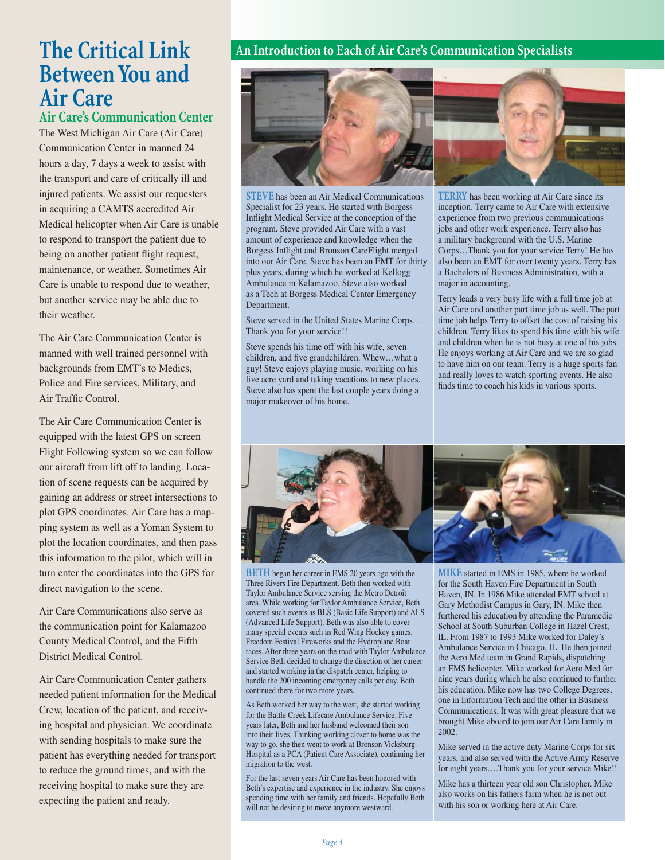# **The Critical Link Between You and Air Care**

## **Air Care's Communication Center**

The West Michigan Air Care (Air Care) Communication Center in manned 24 hours a day, 7 days a week to assist with the transport and care of critically ill and injured patients. We assist our requesters in acquiring a CAMTS accredited Air Medical helicopter when Air Care is unable to respond to transport the patient due to being on another patient flight request, maintenance, or weather. Sometimes Air Care is unable to respond due to weather, but another service may be able due to their weather.

The Air Care Communication Center is manned with well trained personnel with backgrounds from EMT's to Medics, Police and Fire services, Military, and Air Traffic Control.

The Air Care Communication Center is equipped with the latest GPS on screen Flight Following system so we can follow our aircraft from lift off to landing. Location of scene requests can be acquired by gaining an address or street intersections to plot GPS coordinates. Air Care has a mapping system as well as a Yoman System to plot the location coordinates, and then pass this information to the pilot, which will in turn enter the coordinates into the GPS for direct navigation to the scene.

Air Care Communications also serve as the communication point for Kalamazoo County Medical Control, and the Fifth District Medical Control.

Air Care Communication Center gathers needed patient information for the Medical Crew, location of the patient, and receiving hospital and physician. We coordinate with sending hospitals to make sure the patient has everything needed for transport to reduce the ground times, and with the receiving hospital to make sure they are expecting the patient and ready.

### **An Introduction to Each of Air Care's Communication Specialists**



**STEVE** has been an Air Medical Communications Specialist for 23 years. He started with Borgess Inflight Medical Service at the conception of the program. Steve provided Air Care with a vast amount of experience and knowledge when the Borgess Inflight and Bronson CareFlight merged into our Air Care. Steve has been an EMT for thirty plus years, during which he worked at Kellogg Ambulance in Kalamazoo. Steve also worked as a Tech at Borgess Medical Center Emergency Department.

Steve served in the United States Marine Corps… Thank you for your service!!

Steve spends his time off with his wife, seven children, and five grandchildren. Whew...what a guy! Steve enjoys playing music, working on his five acre yard and taking vacations to new places. Steve also has spent the last couple years doing a major makeover of his home.

**TERRY** has been working at Air Care since its inception. Terry came to Air Care with extensive experience from two previous communications jobs and other work experience. Terry also has a military background with the U.S. Marine Corps…Thank you for your service Terry! He has also been an EMT for over twenty years. Terry has a Bachelors of Business Administration, with a major in accounting.

Terry leads a very busy life with a full time job at Air Care and another part time job as well. The part time job helps Terry to offset the cost of raising his children. Terry likes to spend his time with his wife and children when he is not busy at one of his jobs. He enjoys working at Air Care and we are so glad to have him on our team. Terry is a huge sports fan and really loves to watch sporting events. He also finds time to coach his kids in various sports.



**BETH** began her career in EMS 20 years ago with the Three Rivers Fire Department. Beth then worked with Taylor Ambulance Service serving the Metro Detroit area. While working for Taylor Ambulance Service, Beth covered such events as BLS (Basic Life Support) and ALS (Advanced Life Support). Beth was also able to cover many special events such as Red Wing Hockey games, Freedom Festival Fireworks and the Hydroplane Boat races. After three years on the road with Taylor Ambulance Service Beth decided to change the direction of her career and started working in the dispatch center, helping to handle the 200 incoming emergency calls per day. Beth continued there for two more years.

As Beth worked her way to the west, she started working for the Battle Creek Lifecare Ambulance Service. Five years later, Beth and her husband welcomed their son into their lives. Thinking working closer to home was the way to go, she then went to work at Bronson Vicksburg Hospital as a PCA (Patient Care Associate), continuing her migration to the west.

For the last seven years Air Care has been honored with Beth's expertise and experience in the industry. She enjoys spending time with her family and friends. Hopefully Beth will not be desiring to move anymore westward.

**MIKE** started in EMS in 1985, where he worked for the South Haven Fire Department in South Haven, IN. In 1986 Mike attended EMT school at Gary Methodist Campus in Gary, IN. Mike then furthered his education by attending the Paramedic School at South Suburban College in Hazel Crest, IL. From 1987 to 1993 Mike worked for Daley's Ambulance Service in Chicago, IL. He then joined the Aero Med team in Grand Rapids, dispatching an EMS helicopter. Mike worked for Aero Med for nine years during which he also continued to further his education. Mike now has two College Degrees, one in Information Tech and the other in Business Communications. It was with great pleasure that we brought Mike aboard to join our Air Care family in 2002.

Mike served in the active duty Marine Corps for six years, and also served with the Active Army Reserve for eight years….Thank you for your service Mike!!

Mike has a thirteen year old son Christopher. Mike also works on his fathers farm when he is not out with his son or working here at Air Care.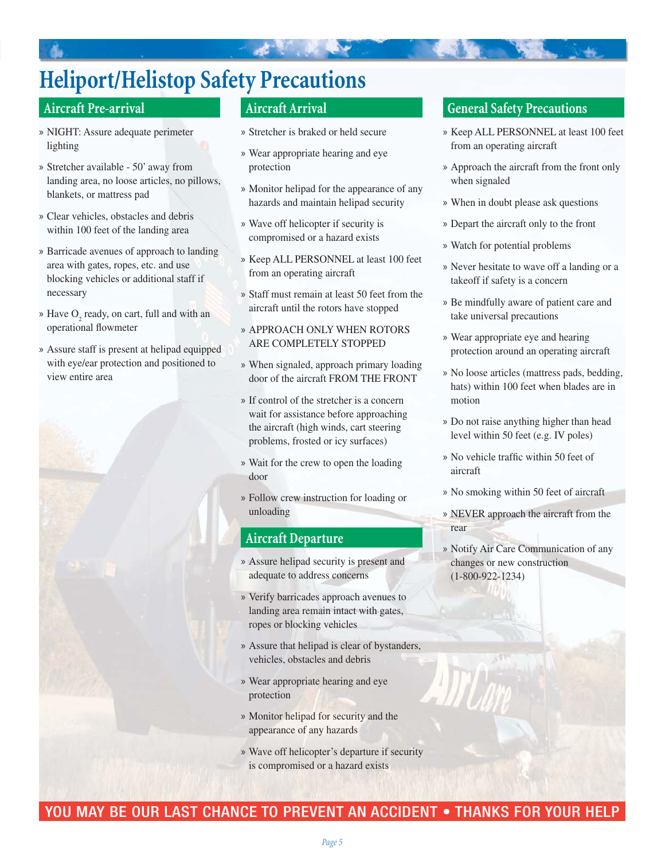# **Heliport/Helistop Safety Precautions**

### **Aircraft Pre-arrival**

- » NIGHT: Assure adequate perimeter lighting
- Stretcher available 50' away from » landing area, no loose articles, no pillows, blankets, or mattress pad
- Clear vehicles, obstacles and debris » within 100 feet of the landing area
- » Barricade avenues of approach to landing area with gates, ropes, etc. and use blocking vehicles or additional staff if necessary
- » Have  $O_2$  ready, on cart, full and with an operational flowmeter
- Assure staff is present at helipad equipped » with eye/ear protection and positioned to view entire area

### **Aircraft Arrival**

- Stretcher is braked or held secure »
- » Wear appropriate hearing and eye protection
- Monitor helipad for the appearance of any » hazards and maintain helipad security
- Wave off helicopter if security is » compromised or a hazard exists
- » Keep ALL PERSONNEL at least 100 feet from an operating aircraft
- Staff must remain at least 50 feet from the » aircraft until the rotors have stopped
- APPROACH ONLY WHEN ROTORS » ARE COMPLETELY STOPPED
- When signaled, approach primary loading » door of the aircraft FROM THE FRONT
- » If control of the stretcher is a concern wait for assistance before approaching the aircraft (high winds, cart steering problems, frosted or icy surfaces)
- Wait for the crew to open the loading » door
- Follow crew instruction for loading or » unloading

#### **Aircraft Departure**

- Assure helipad security is present and » adequate to address concerns
- » Verify barricades approach avenues to landing area remain intact with gates, ropes or blocking vehicles
- Assure that helipad is clear of bystanders, » vehicles, obstacles and debris
- » Wear appropriate hearing and eye protection
- » Monitor helipad for security and the appearance of any hazards
- Wave off helicopter's departure if security » is compromised or a hazard exists

#### **General Safety Precautions**

- » Keep ALL PERSONNEL at least 100 feet from an operating aircraft
- Approach the aircraft from the front only » when signaled
- When in doubt please ask questions »
- » Depart the aircraft only to the front
- Watch for potential problems »
- » Never hesitate to wave off a landing or a takeoff if safety is a concern
- » Be mindfully aware of patient care and take universal precautions
- » Wear appropriate eye and hearing protection around an operating aircraft
- No loose articles (mattress pads, bedding, » hats) within 100 feet when blades are in motion
- Do not raise anything higher than head » level within 50 feet (e.g. IV poles)
- » No vehicle traffic within 50 feet of aircraft
- No smoking within 50 feet of aircraft »
- » NEVER approach the aircraft from the rear
- » Notify Air Care Communication of any changes or new construction (1-800-922-1234)

## YOU MAY BE OUR LAST CHANCE TO PREVENT AN ACCIDENT . THANKS FOR YOUR HELP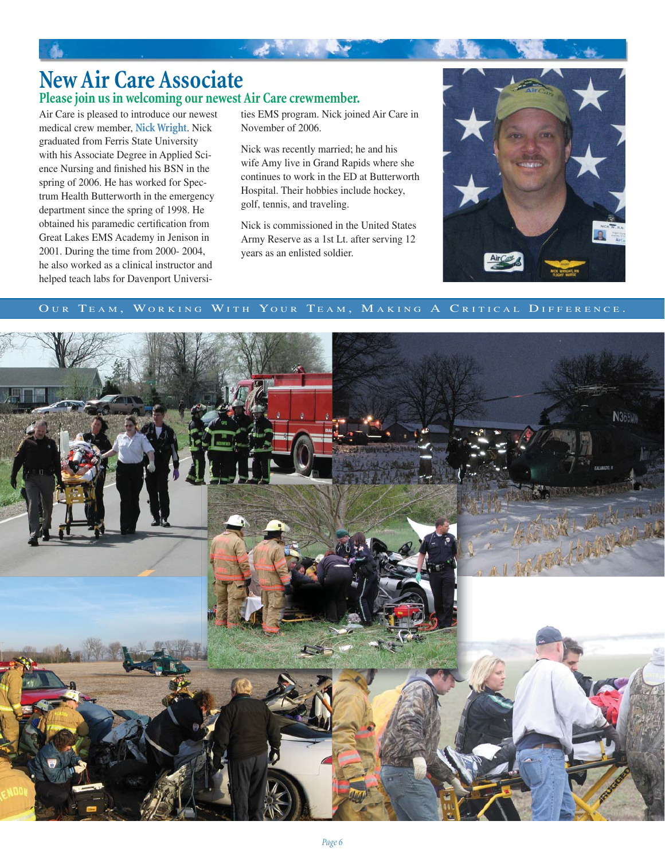# **New Air Care Associate Please join us in welcoming our newest Air Care crewmember.**

Air Care is pleased to introduce our newest medical crew member, **Nick Wright**. Nick graduated from Ferris State University with his Associate Degree in Applied Science Nursing and finished his BSN in the spring of 2006. He has worked for Spectrum Health Butterworth in the emergency department since the spring of 1998. He obtained his paramedic certification from Great Lakes EMS Academy in Jenison in 2001. During the time from 2000- 2004, he also worked as a clinical instructor and helped teach labs for Davenport Universi-

ties EMS program. Nick joined Air Care in November of 2006.

 $\mathcal{A}^{\mathcal{A}}$ 

Nick was recently married; he and his wife Amy live in Grand Rapids where she continues to work in the ED at Butterworth Hospital. Their hobbies include hockey, golf, tennis, and traveling.

Nick is commissioned in the United States Army Reserve as a 1st Lt. after serving 12 years as an enlisted soldier.



#### OUR TEAM, WORKING WITH YOUR TEAM, MAKING A CRITICAL DIFFERENCE.

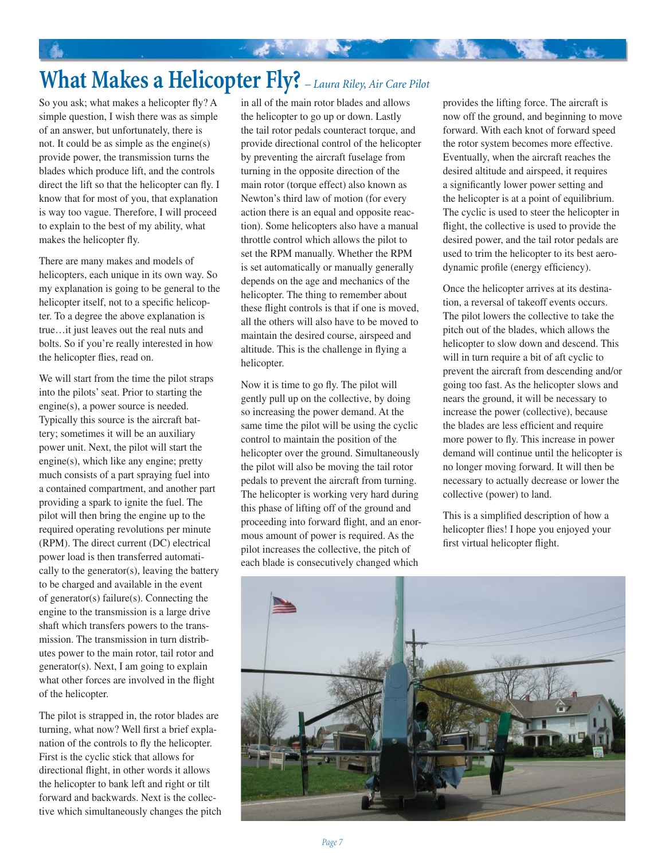# **What Makes a Helicopter Fly?** *– Laura Riley, Air Care Pilot*

So you ask; what makes a helicopter fly? A simple question, I wish there was as simple of an answer, but unfortunately, there is not. It could be as simple as the engine(s) provide power, the transmission turns the blades which produce lift, and the controls direct the lift so that the helicopter can fly. I know that for most of you, that explanation is way too vague. Therefore, I will proceed to explain to the best of my ability, what makes the helicopter fly.

There are many makes and models of helicopters, each unique in its own way. So my explanation is going to be general to the helicopter itself, not to a specific helicopter. To a degree the above explanation is true…it just leaves out the real nuts and bolts. So if you're really interested in how the helicopter flies, read on.

We will start from the time the pilot straps into the pilots' seat. Prior to starting the engine(s), a power source is needed. Typically this source is the aircraft battery; sometimes it will be an auxiliary power unit. Next, the pilot will start the engine(s), which like any engine; pretty much consists of a part spraying fuel into a contained compartment, and another part providing a spark to ignite the fuel. The pilot will then bring the engine up to the required operating revolutions per minute (RPM). The direct current (DC) electrical power load is then transferred automatically to the generator(s), leaving the battery to be charged and available in the event of generator(s) failure(s). Connecting the engine to the transmission is a large drive shaft which transfers powers to the transmission. The transmission in turn distributes power to the main rotor, tail rotor and generator(s). Next, I am going to explain what other forces are involved in the flight of the helicopter.

The pilot is strapped in, the rotor blades are turning, what now? Well first a brief explanation of the controls to fly the helicopter. First is the cyclic stick that allows for directional flight, in other words it allows the helicopter to bank left and right or tilt forward and backwards. Next is the collective which simultaneously changes the pitch in all of the main rotor blades and allows the helicopter to go up or down. Lastly the tail rotor pedals counteract torque, and provide directional control of the helicopter by preventing the aircraft fuselage from turning in the opposite direction of the main rotor (torque effect) also known as Newton's third law of motion (for every action there is an equal and opposite reaction). Some helicopters also have a manual throttle control which allows the pilot to set the RPM manually. Whether the RPM is set automatically or manually generally depends on the age and mechanics of the helicopter. The thing to remember about these flight controls is that if one is moved, all the others will also have to be moved to maintain the desired course, airspeed and altitude. This is the challenge in flying a helicopter.

Now it is time to go fly. The pilot will gently pull up on the collective, by doing so increasing the power demand. At the same time the pilot will be using the cyclic control to maintain the position of the helicopter over the ground. Simultaneously the pilot will also be moving the tail rotor pedals to prevent the aircraft from turning. The helicopter is working very hard during this phase of lifting off of the ground and proceeding into forward flight, and an enormous amount of power is required. As the pilot increases the collective, the pitch of each blade is consecutively changed which

provides the lifting force. The aircraft is now off the ground, and beginning to move forward. With each knot of forward speed the rotor system becomes more effective. Eventually, when the aircraft reaches the desired altitude and airspeed, it requires a significantly lower power setting and the helicopter is at a point of equilibrium. The cyclic is used to steer the helicopter in flight, the collective is used to provide the desired power, and the tail rotor pedals are used to trim the helicopter to its best aerodynamic profile (energy efficiency).

Once the helicopter arrives at its destination, a reversal of takeoff events occurs. The pilot lowers the collective to take the pitch out of the blades, which allows the helicopter to slow down and descend. This will in turn require a bit of aft cyclic to prevent the aircraft from descending and/or going too fast. As the helicopter slows and nears the ground, it will be necessary to increase the power (collective), because the blades are less efficient and require more power to fly. This increase in power demand will continue until the helicopter is no longer moving forward. It will then be necessary to actually decrease or lower the collective (power) to land.

This is a simplified description of how a helicopter flies! I hope you enjoyed your first virtual helicopter flight.